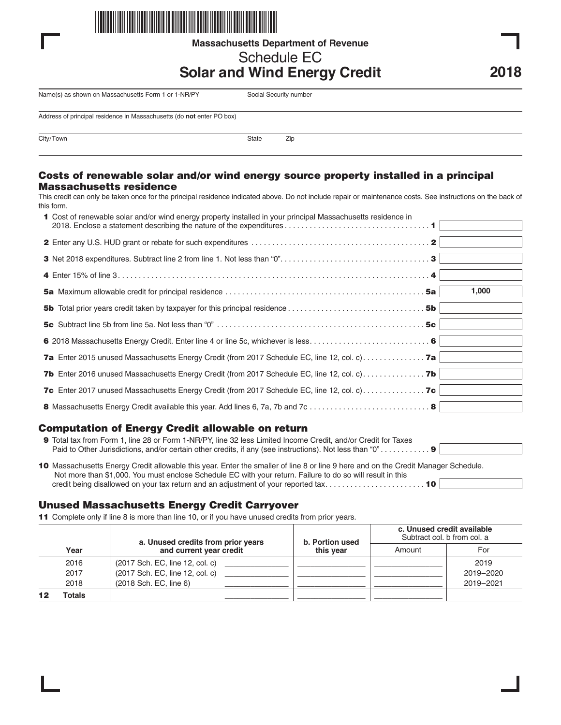

**Massachusetts Department of Revenue**

# Schedule EC

## **Solar and Wind Energy Credit**

Name(s) as shown on Massachusetts Form 1 or 1-NR/PY Social Security number

Address of principal residence in Massachusetts (do **not** enter PO box)

City/Town 2ip

#### Costs of renewable solar and/or wind energy source property installed in a principal Massachusetts residence

This credit can only be taken once for the principal residence indicated above. Do not include repair or maintenance costs. See instructions on the back of this form.

| 1 Cost of renewable solar and/or wind energy property installed in your principal Massachusetts residence in                                       |       |
|----------------------------------------------------------------------------------------------------------------------------------------------------|-------|
|                                                                                                                                                    |       |
|                                                                                                                                                    |       |
|                                                                                                                                                    |       |
|                                                                                                                                                    | 1,000 |
| <b>5b</b> Total prior years credit taken by taxpayer for this principal residence $\ldots \ldots \ldots \ldots \ldots \ldots \ldots \ldots \ldots$ |       |
|                                                                                                                                                    |       |
|                                                                                                                                                    |       |
| <b>7a</b> Enter 2015 unused Massachusetts Energy Credit (from 2017 Schedule EC, line 12, col. c) <b>7a</b>                                         |       |
| <b>7b</b> Enter 2016 unused Massachusetts Energy Credit (from 2017 Schedule EC, line 12, col. c) <b>7b</b>                                         |       |
|                                                                                                                                                    |       |
|                                                                                                                                                    |       |

### Computation of Energy Credit allowable on return

| 9 Total tax from Form 1, line 28 or Form 1-NR/PY, line 32 less Limited Income Credit, and/or Credit for Taxes                                                                                                                                    |  |
|--------------------------------------------------------------------------------------------------------------------------------------------------------------------------------------------------------------------------------------------------|--|
| 10 Massachusetts Energy Credit allowable this year. Enter the smaller of line 8 or line 9 here and on the Credit Manager Schedule.<br>Not more than \$1,000. You must enclose Schedule EC with your return. Failure to do so will result in this |  |
| credit being disallowed on your tax return and an adjustment of your reported tax 10                                                                                                                                                             |  |

### Unused Massachusetts Energy Credit Carryover

11 Complete only if line 8 is more than line 10, or if you have unused credits from prior years.

|  | a. Unused credits from prior years<br>and current year credit<br>Year | b. Portion used                 | c. Unused credit available<br>Subtract col. b from col. a |        |           |
|--|-----------------------------------------------------------------------|---------------------------------|-----------------------------------------------------------|--------|-----------|
|  |                                                                       |                                 | this vear                                                 | Amount | For       |
|  | 2016                                                                  | (2017 Sch. EC, line 12, col. c) |                                                           |        | 2019      |
|  | 2017                                                                  | (2017 Sch. EC, line 12, col. c) |                                                           |        | 2019-2020 |
|  | 2018                                                                  | (2018 Sch. EC, line 6)          |                                                           |        | 2019-2021 |
|  | Totals                                                                |                                 |                                                           |        |           |